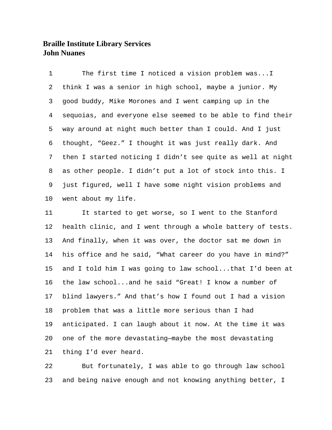The first time I noticed a vision problem was...I think I was a senior in high school, maybe a junior. My good buddy, Mike Morones and I went camping up in the sequoias, and everyone else seemed to be able to find their way around at night much better than I could. And I just thought, "Geez." I thought it was just really dark. And then I started noticing I didn't see quite as well at night as other people. I didn't put a lot of stock into this. I just figured, well I have some night vision problems and went about my life.

 It started to get worse, so I went to the Stanford health clinic, and I went through a whole battery of tests. And finally, when it was over, the doctor sat me down in his office and he said, "What career do you have in mind?" and I told him I was going to law school...that I'd been at the law school...and he said "Great! I know a number of blind lawyers." And that's how I found out I had a vision problem that was a little more serious than I had anticipated. I can laugh about it now. At the time it was one of the more devastating—maybe the most devastating thing I'd ever heard.

 But fortunately, I was able to go through law school and being naive enough and not knowing anything better, I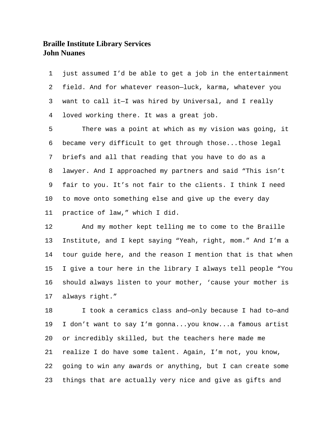just assumed I'd be able to get a job in the entertainment field. And for whatever reason—luck, karma, whatever you want to call it—I was hired by Universal, and I really loved working there. It was a great job. There was a point at which as my vision was going, it became very difficult to get through those...those legal briefs and all that reading that you have to do as a lawyer. And I approached my partners and said "This isn't fair to you. It's not fair to the clients. I think I need to move onto something else and give up the every day practice of law," which I did.

 And my mother kept telling me to come to the Braille Institute, and I kept saying "Yeah, right, mom." And I'm a tour guide here, and the reason I mention that is that when I give a tour here in the library I always tell people "You should always listen to your mother, 'cause your mother is always right."

 I took a ceramics class and—only because I had to—and I don't want to say I'm gonna...you know...a famous artist or incredibly skilled, but the teachers here made me realize I do have some talent. Again, I'm not, you know, going to win any awards or anything, but I can create some things that are actually very nice and give as gifts and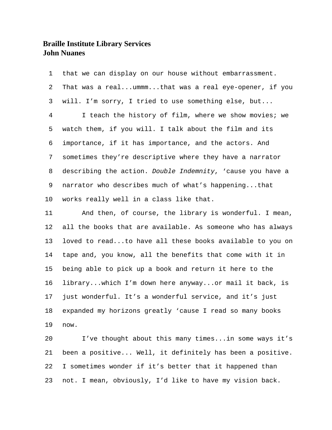that we can display on our house without embarrassment. That was a real...ummm...that was a real eye-opener, if you will. I'm sorry, I tried to use something else, but... I teach the history of film, where we show movies; we watch them, if you will. I talk about the film and its importance, if it has importance, and the actors. And sometimes they're descriptive where they have a narrator describing the action. *Double Indemnity*, 'cause you have a narrator who describes much of what's happening...that works really well in a class like that.

 And then, of course, the library is wonderful. I mean, all the books that are available. As someone who has always loved to read...to have all these books available to you on tape and, you know, all the benefits that come with it in being able to pick up a book and return it here to the library...which I'm down here anyway...or mail it back, is just wonderful. It's a wonderful service, and it's just expanded my horizons greatly 'cause I read so many books now.

 I've thought about this many times...in some ways it's been a positive... Well, it definitely has been a positive. I sometimes wonder if it's better that it happened than not. I mean, obviously, I'd like to have my vision back.